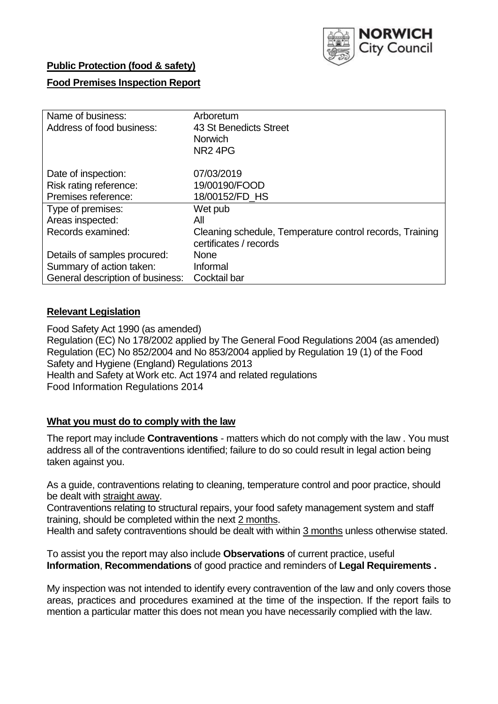

# **Public Protection (food & safety)**

## **Food Premises Inspection Report**

| Name of business:                | Arboretum                                                |
|----------------------------------|----------------------------------------------------------|
| Address of food business:        | 43 St Benedicts Street                                   |
|                                  | <b>Norwich</b>                                           |
|                                  | NR <sub>2</sub> 4PG                                      |
| Date of inspection:              | 07/03/2019                                               |
| Risk rating reference:           | 19/00190/FOOD                                            |
| Premises reference:              |                                                          |
|                                  | 18/00152/FD HS                                           |
| Type of premises:                | Wet pub                                                  |
| Areas inspected:                 | All                                                      |
| Records examined:                | Cleaning schedule, Temperature control records, Training |
|                                  | certificates / records                                   |
| Details of samples procured:     | <b>None</b>                                              |
| Summary of action taken:         | Informal                                                 |
| General description of business: | Cocktail bar                                             |

# **Relevant Legislation**

Food Safety Act 1990 (as amended) Regulation (EC) No 178/2002 applied by The General Food Regulations 2004 (as amended) Regulation (EC) No 852/2004 and No 853/2004 applied by Regulation 19 (1) of the Food Safety and Hygiene (England) Regulations 2013 Health and Safety at Work etc. Act 1974 and related regulations Food Information Regulations 2014

## **What you must do to comply with the law**

The report may include **Contraventions** - matters which do not comply with the law . You must address all of the contraventions identified; failure to do so could result in legal action being taken against you.

As a guide, contraventions relating to cleaning, temperature control and poor practice, should be dealt with straight away.

Contraventions relating to structural repairs, your food safety management system and staff training, should be completed within the next 2 months.

Health and safety contraventions should be dealt with within 3 months unless otherwise stated.

To assist you the report may also include **Observations** of current practice, useful **Information**, **Recommendations** of good practice and reminders of **Legal Requirements .**

My inspection was not intended to identify every contravention of the law and only covers those areas, practices and procedures examined at the time of the inspection. If the report fails to mention a particular matter this does not mean you have necessarily complied with the law.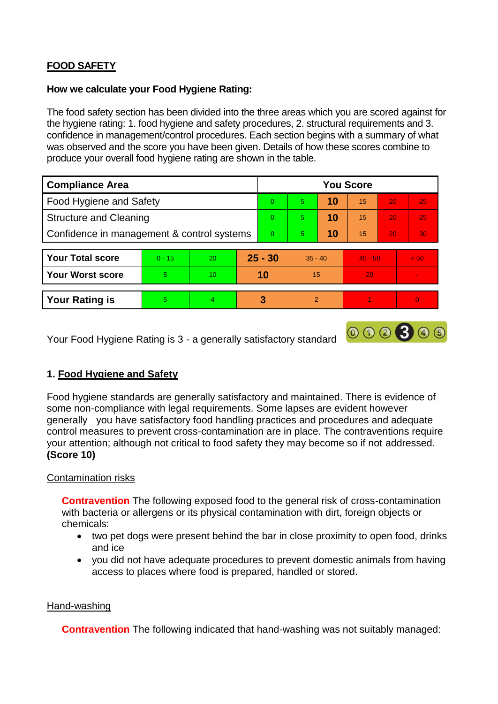# **FOOD SAFETY**

### **How we calculate your Food Hygiene Rating:**

The food safety section has been divided into the three areas which you are scored against for the hygiene rating: 1. food hygiene and safety procedures, 2. structural requirements and 3. confidence in management/control procedures. Each section begins with a summary of what was observed and the score you have been given. Details of how these scores combine to produce your overall food hygiene rating are shown in the table.

| <b>Compliance Area</b>                     |          |    |          | <b>You Score</b> |                |    |           |                 |          |  |  |
|--------------------------------------------|----------|----|----------|------------------|----------------|----|-----------|-----------------|----------|--|--|
| Food Hygiene and Safety                    |          |    |          | $\Omega$         | 5              | 10 | 15        | 20              | 25       |  |  |
| <b>Structure and Cleaning</b>              |          |    | $\Omega$ | 5                | 10             | 15 | 20        | 25              |          |  |  |
| Confidence in management & control systems |          |    | $\Omega$ | 5 <sup>5</sup>   | 10             | 15 | 20        | 30 <sup>°</sup> |          |  |  |
|                                            |          |    |          |                  |                |    |           |                 |          |  |  |
| <b>Your Total score</b>                    | $0 - 15$ | 20 |          | $25 - 30$        | $35 - 40$      |    | $45 - 50$ |                 | > 50     |  |  |
| <b>Your Worst score</b>                    | 5        | 10 |          | 10               | 15             |    | 20        |                 |          |  |  |
|                                            |          |    |          |                  |                |    |           |                 |          |  |  |
| <b>Your Rating is</b>                      | 5        | 4  |          | 3                | $\overline{2}$ |    |           |                 | $\Omega$ |  |  |

Your Food Hygiene Rating is 3 - a generally satisfactory standard

# **1. Food Hygiene and Safety**

Food hygiene standards are generally satisfactory and maintained. There is evidence of some non-compliance with legal requirements. Some lapses are evident however generally you have satisfactory food handling practices and procedures and adequate control measures to prevent cross-contamination are in place. The contraventions require your attention; although not critical to food safety they may become so if not addressed. **(Score 10)**

000300

## Contamination risks

**Contravention** The following exposed food to the general risk of cross-contamination with bacteria or allergens or its physical contamination with dirt, foreign objects or chemicals:

- two pet dogs were present behind the bar in close proximity to open food, drinks and ice
- you did not have adequate procedures to prevent domestic animals from having access to places where food is prepared, handled or stored.

#### Hand-washing

**Contravention** The following indicated that hand-washing was not suitably managed: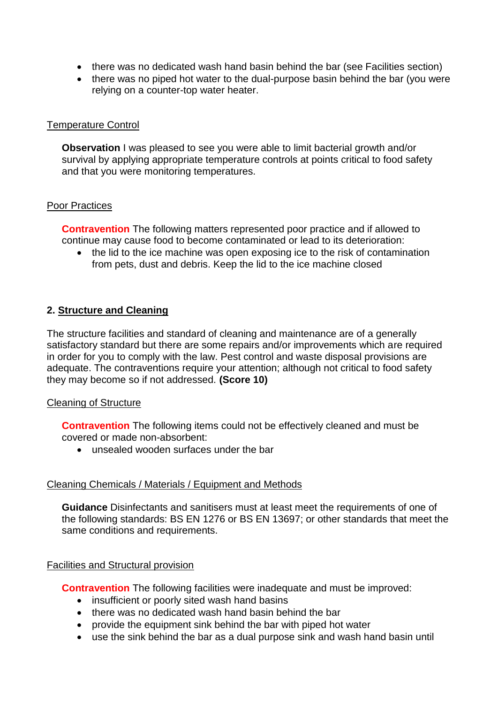- there was no dedicated wash hand basin behind the bar (see Facilities section)
- there was no piped hot water to the dual-purpose basin behind the bar (you were relying on a counter-top water heater.

#### Temperature Control

**Observation** I was pleased to see you were able to limit bacterial growth and/or survival by applying appropriate temperature controls at points critical to food safety and that you were monitoring temperatures.

#### Poor Practices

**Contravention** The following matters represented poor practice and if allowed to continue may cause food to become contaminated or lead to its deterioration:

• the lid to the ice machine was open exposing ice to the risk of contamination from pets, dust and debris. Keep the lid to the ice machine closed

# **2. Structure and Cleaning**

The structure facilities and standard of cleaning and maintenance are of a generally satisfactory standard but there are some repairs and/or improvements which are required in order for you to comply with the law. Pest control and waste disposal provisions are adequate. The contraventions require your attention; although not critical to food safety they may become so if not addressed. **(Score 10)**

## Cleaning of Structure

**Contravention** The following items could not be effectively cleaned and must be covered or made non-absorbent:

unsealed wooden surfaces under the bar

## Cleaning Chemicals / Materials / Equipment and Methods

**Guidance** Disinfectants and sanitisers must at least meet the requirements of one of the following standards: BS EN 1276 or BS EN 13697; or other standards that meet the same conditions and requirements.

#### Facilities and Structural provision

**Contravention** The following facilities were inadequate and must be improved:

- insufficient or poorly sited wash hand basins
- there was no dedicated wash hand basin behind the bar
- provide the equipment sink behind the bar with piped hot water
- use the sink behind the bar as a dual purpose sink and wash hand basin until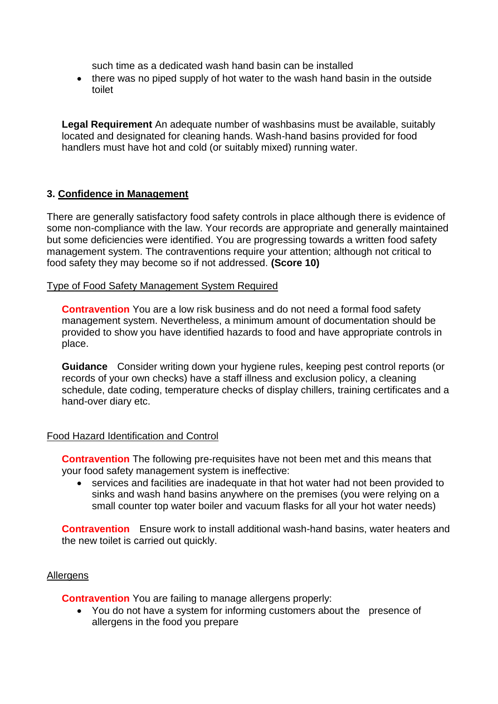such time as a dedicated wash hand basin can be installed

• there was no piped supply of hot water to the wash hand basin in the outside toilet

**Legal Requirement** An adequate number of washbasins must be available, suitably located and designated for cleaning hands. Wash-hand basins provided for food handlers must have hot and cold (or suitably mixed) running water.

# **3. Confidence in Management**

There are generally satisfactory food safety controls in place although there is evidence of some non-compliance with the law. Your records are appropriate and generally maintained but some deficiencies were identified. You are progressing towards a written food safety management system. The contraventions require your attention; although not critical to food safety they may become so if not addressed. **(Score 10)**

#### Type of Food Safety Management System Required

**Contravention** You are a low risk business and do not need a formal food safety management system. Nevertheless, a minimum amount of documentation should be provided to show you have identified hazards to food and have appropriate controls in place.

**Guidance** Consider writing down your hygiene rules, keeping pest control reports (or records of your own checks) have a staff illness and exclusion policy, a cleaning schedule, date coding, temperature checks of display chillers, training certificates and a hand-over diary etc.

## Food Hazard Identification and Control

**Contravention** The following pre-requisites have not been met and this means that your food safety management system is ineffective:

 services and facilities are inadequate in that hot water had not been provided to sinks and wash hand basins anywhere on the premises (you were relying on a small counter top water boiler and vacuum flasks for all your hot water needs)

**Contravention** Ensure work to install additional wash-hand basins, water heaters and the new toilet is carried out quickly.

## Allergens

**Contravention** You are failing to manage allergens properly:

• You do not have a system for informing customers about the presence of allergens in the food you prepare